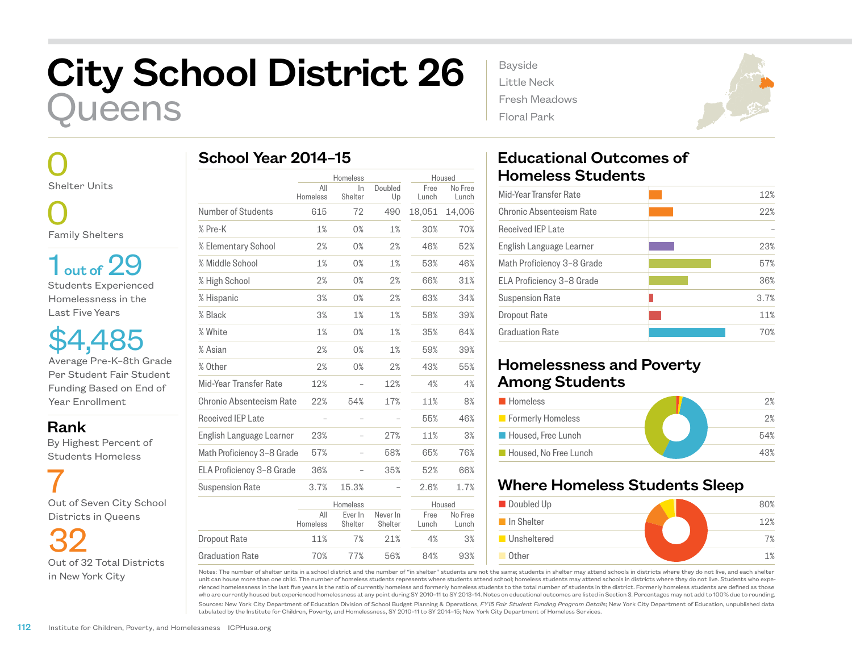# City School District 26 **leens**

 0 Shelter Units

 0 Family Shelters

1 out of 29 Students Experienced Homelessness in the Last Five Years

\$4,485 Average Pre-K–8th Grade Per Student Fair Student Funding Based on End of Year Enrollment

Rank

 By Highest Percent of Students Homeless

 7 Out of Seven City School Districts in Queens

32 Out of 32 Total Districts in New York City

|                            |                 | Homeless           |                     | Housed        |                  |
|----------------------------|-----------------|--------------------|---------------------|---------------|------------------|
|                            | All<br>Homeless | In.<br>Shelter     | Doubled<br>Up       | Free<br>Lunch | No Free<br>Lunch |
| Number of Students         | 615             | 72                 | 490                 | 18,051        | 14,006           |
| % Pre-K                    | 1%              | O%                 | 1%                  | 30%           | 70%              |
| % Elementary School        | 2%              | 0%                 | 2%                  | 46%           | 52%              |
| % Middle School            | 1%              | 0%                 | 1%                  | 53%           | 46%              |
| % High School              | 2%              | 0%                 | 2%                  | 66%           | 31%              |
| % Hispanic                 | 3%              | 0%                 | 2%                  | 63%           | 34%              |
| % Black                    | 3%              | 1%                 | 1%                  | 58%           | 39%              |
| % White                    | 1%              | 0%                 | 1%                  | 35%           | 64%              |
| % Asian                    | 2%              | 0%                 | 1%                  | 59%           | 39%              |
| % Other                    | 2%              | 0%                 | 2%                  | 43%           | 55%              |
| Mid-Year Transfer Rate     | 12%             |                    | 12%                 | 4%            | 4%               |
| Chronic Absenteeism Rate   | 22%             | 54%                | 17%                 | 11%           | 8%               |
| <b>Received IEP Late</b>   |                 |                    |                     | 55%           | 46%              |
| English Language Learner   | 23%             |                    | 27%                 | 11%           | 3%               |
| Math Proficiency 3-8 Grade | 57%             |                    | 58%                 | 65%           | 76%              |
| ELA Proficiency 3-8 Grade  | 36%             | $\overline{a}$     | 35%                 | 52%           | 66%              |
| <b>Suspension Rate</b>     | 3.7%            | 15.3%              |                     | 2.6%          | 1.7%             |
|                            |                 | Homeless           |                     | Housed        |                  |
|                            | All<br>Homeless | Ever In<br>Shelter | Never In<br>Shelter | Free<br>Lunch | No Free<br>Lunch |
| <b>Dropout Rate</b>        | 11%             | 7%                 | 21%                 | 4%            | 3%               |
| Graduation Rate            | 70%             | 77%                | 56%                 | 84%           | 93%              |

| <b>Bayside</b> |
|----------------|
| Little Neck    |
| Fresh Meadows  |
| Floral Park    |



# Educational Outcomes of Homeless Students

| Mid-Year Transfer Rate     | 12%  |
|----------------------------|------|
| Chronic Absenteeism Rate   | 22%  |
| Received IFP Late          |      |
| English Language Learner   | 23%  |
| Math Proficiency 3-8 Grade | 57%  |
| ELA Proficiency 3-8 Grade  | 36%  |
| <b>Suspension Rate</b>     | 3.7% |
| Dropout Rate               | 11%  |
| <b>Graduation Rate</b>     | 70%  |
|                            |      |

### Homelessness and Poverty Among Students

| <b>Homeless</b>       | 2%  |
|-----------------------|-----|
| Formerly Homeless     | 2%  |
| Housed, Free Lunch    | 54% |
| Housed. No Free Lunch | 43% |

# Where Homeless Students Sleep



Notes: The number of shelter units in a school district and the number of "in shelter" students are not the same; students in shelter may attend schools in districts where they do not live, and each shelter unit can house more than one child. The number of homeless students represents where students attend school; homeless students may attend schools in districts where they do not live. Students who experienced homelessness in the last five years is the ratio of currently homeless and formerly homeless students to the total number of students in the district. Formerly homeless students are defined as those who are currently housed but experienced homelessness at any point during SY 2010–11 to SY 2013–14. Notes on educational outcomes are listed in Section 3. Percentages may not add to 100% due to rounding.

Sources: New York City Department of Education Division of School Budget Planning & Operations, *FY15 Fair Student Funding Program Details*; New York City Department of Education, unpublished data tabulated by the Institute for Children, Poverty, and Homelessness, SY 2010–11 to SY 2014–15; New York City Department of Homeless Services.